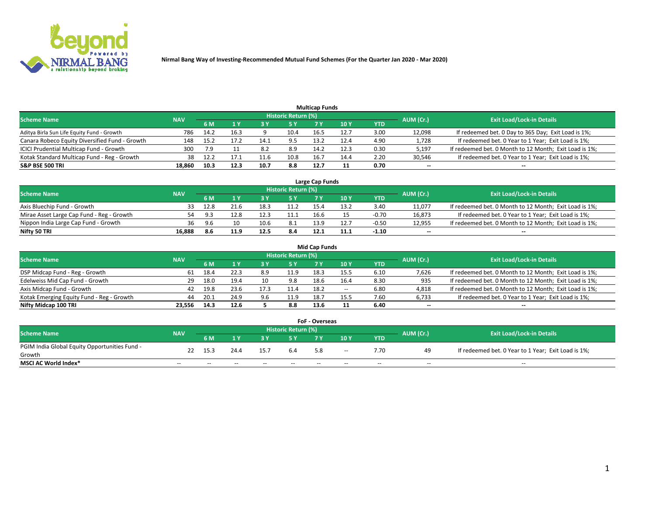

| <b>Multicap Funds</b>                          |            |      |      |      |                     |      |      |      |           |                                                        |  |  |  |  |
|------------------------------------------------|------------|------|------|------|---------------------|------|------|------|-----------|--------------------------------------------------------|--|--|--|--|
| <b>Scheme Name</b>                             | <b>NAV</b> |      |      |      | Historic Return (%) |      |      |      | AUM (Cr.) | <b>Exit Load/Lock-in Details</b>                       |  |  |  |  |
|                                                |            | 6 M  |      |      | 5 Y                 |      | 10 Y | YTD  |           |                                                        |  |  |  |  |
| Aditya Birla Sun Life Equity Fund - Growth     | 786        | 14.2 | 16.3 |      | 10.4                | 16.5 | 12.7 | 3.00 | 12,098    | If redeemed bet. 0 Day to 365 Day; Exit Load is 1%;    |  |  |  |  |
| Canara Robeco Equity Diversified Fund - Growth | 148        | 15.2 |      | 14.1 | 9.5                 | 13.2 | 12.4 | 4.90 | 1,728     | If redeemed bet. 0 Year to 1 Year; Exit Load is 1%;    |  |  |  |  |
| ICICI Prudential Multicap Fund - Growth        | 300        | 7.9  |      | 8.2  | 8.9                 | 14.2 | 12.3 | 0.30 | 5,197     | If redeemed bet. 0 Month to 12 Month; Exit Load is 1%; |  |  |  |  |
| Kotak Standard Multicap Fund - Reg - Growth    | 38         | 12.2 | 17.1 | 11.f | 10.8                | 16.  | 14.4 | 2.20 | 30,546    | If redeemed bet. 0 Year to 1 Year; Exit Load is 1%;    |  |  |  |  |
| <b>S&amp;P BSE 500 TRI</b>                     | 18.860     | 10.3 | 12.3 | 10.7 | 8.8                 | 12.7 |      | 0.70 | $- -$     | $-$                                                    |  |  |  |  |

| Large Cap Funds                           |            |           |                                  |      |      |      |      |         |        |                                                        |  |  |  |  |
|-------------------------------------------|------------|-----------|----------------------------------|------|------|------|------|---------|--------|--------------------------------------------------------|--|--|--|--|
| Scheme Name                               | <b>NAV</b> | AUM (Cr.) | <b>Exit Load/Lock-in Details</b> |      |      |      |      |         |        |                                                        |  |  |  |  |
|                                           |            | 6 M       |                                  |      | 5 Y  |      | 10Y  | YTD     |        |                                                        |  |  |  |  |
| Axis Bluechip Fund - Growth               |            | 12.8      |                                  | 18.3 | 11.2 | 15.4 | 13.  | 3.40    | 11,077 | If redeemed bet. 0 Month to 12 Month; Exit Load is 1%; |  |  |  |  |
| Mirae Asset Large Cap Fund - Reg - Growth | 54         |           | 12.8                             | 12.3 | 11.1 | 16.6 |      | $-0.70$ | 16,873 | If redeemed bet. 0 Year to 1 Year; Exit Load is 1%;    |  |  |  |  |
| Nippon India Large Cap Fund - Growth      | 36         |           |                                  | 10.6 | 8.1  | 13.9 | 12.7 | $-0.50$ | 12,955 | If redeemed bet. 0 Month to 12 Month; Exit Load is 1%; |  |  |  |  |
| Nifty 50 TRI                              | 16.888     | 8.6       | 11.9                             | 12.5 | 8.4  | 12.1 | 11.1 | $-1.10$ | $\sim$ | $\sim$                                                 |  |  |  |  |

|                                           |            |      |      |      |                     | <b>Mid Cap Funds</b> |        |            |           |                                                        |
|-------------------------------------------|------------|------|------|------|---------------------|----------------------|--------|------------|-----------|--------------------------------------------------------|
| <b>Scheme Name</b>                        | <b>NAV</b> |      |      |      | Historic Return (%) |                      |        |            | AUM (Cr.) | <b>Exit Load/Lock-in Details</b>                       |
|                                           |            | 6 M  |      |      |                     |                      | 10Y    | <b>YTD</b> |           |                                                        |
| DSP Midcap Fund - Reg - Growth            | 61         | 18.4 | 22.3 | 8.9  | 11.9                | 18.3                 | 15.5   | 6.10       | 7,626     | If redeemed bet. 0 Month to 12 Month; Exit Load is 1%; |
| Edelweiss Mid Cap Fund - Growth           | 29         | 18.0 | 19.4 |      | 9.8                 | 18.6                 | 16.4   | 8.30       | 935       | If redeemed bet. 0 Month to 12 Month; Exit Load is 1%; |
| Axis Midcap Fund - Growth                 | 42         | 19.8 | 23.6 | 17.3 | L1.4                | 18.2                 | $\sim$ | 6.80       | 4,818     | If redeemed bet. 0 Month to 12 Month; Exit Load is 1%; |
| Kotak Emerging Equity Fund - Reg - Growth | 44         | 20.1 | 24.9 | 9.6  | 11.9                | 18.7                 | 15.5   | 7.60       | 6,733     | If redeemed bet. 0 Year to 1 Year; Exit Load is 1%;    |
| Nifty Midcap 100 TRI                      | 23.556     | 14.3 | 12.6 |      | 8.8                 | 13.6                 |        | 6.40       | $\sim$    |                                                        |

| <b>FoF - Overseas</b>                         |            |       |       |       |                            |     |        |            |           |                                                     |  |  |  |
|-----------------------------------------------|------------|-------|-------|-------|----------------------------|-----|--------|------------|-----------|-----------------------------------------------------|--|--|--|
| <b>Scheme Name</b>                            | <b>NAV</b> |       |       |       | <b>Historic Return (%)</b> |     |        |            | AUM (Cr.) | <b>Exit Load/Lock-in Details</b>                    |  |  |  |
|                                               |            | 6 M   |       |       |                            |     | 10Y    | <b>YTD</b> |           |                                                     |  |  |  |
| PGIM India Global Equity Opportunities Fund - |            | 15.3  | 24.4  | 15.7  | 6.4                        | 5.8 | $\sim$ | 7.70       | 49        | If redeemed bet. 0 Year to 1 Year; Exit Load is 1%; |  |  |  |
| Growth                                        |            |       |       |       |                            |     |        |            |           |                                                     |  |  |  |
| <b>MSCI AC World Index*</b>                   | $- -$      | $- -$ | $- -$ | $- -$ | $- -$                      | --  | $- -$  | $- -$      | $- -$     | $- -$                                               |  |  |  |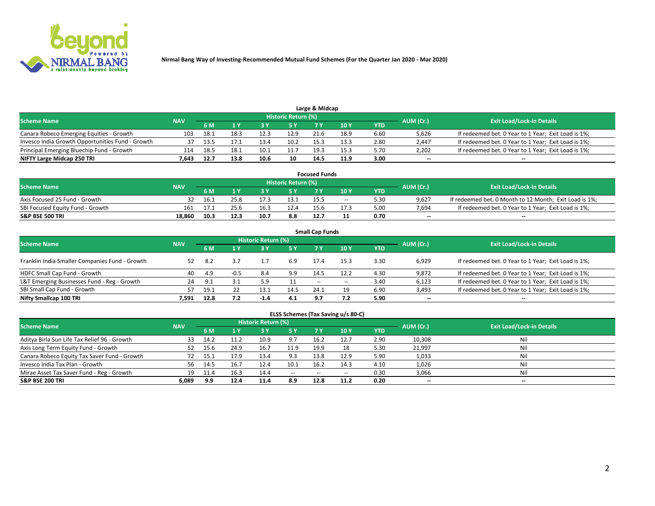

| Large & Midcap                                   |            |      |      |      |                     |      |      |      |           |                                                     |  |  |  |  |
|--------------------------------------------------|------------|------|------|------|---------------------|------|------|------|-----------|-----------------------------------------------------|--|--|--|--|
| <b>Scheme Name</b>                               | <b>NAV</b> |      |      |      | Historic Return (%) |      |      |      | AUM (Cr.) | <b>Exit Load/Lock-in Details</b>                    |  |  |  |  |
|                                                  |            | 6 M  |      |      |                     |      | 10 Y | YTD  |           |                                                     |  |  |  |  |
| Canara Robeco Emerging Equities - Growth         | 103        | 18.1 | 18.3 | 12.3 | 12.9                | 21.6 | 18.9 | 6.60 | 5,626     | If redeemed bet. 0 Year to 1 Year; Exit Load is 1%; |  |  |  |  |
| Invesco India Growth Opportunities Fund - Growth | 37         | 13.5 |      | 13.4 | 10.2                | 15.3 | 13.3 | 2.80 | 2,447     | If redeemed bet. 0 Year to 1 Year; Exit Load is 1%; |  |  |  |  |
| Principal Emerging Bluechip Fund - Growth        | 114        | 18.5 | 18.1 | 10.1 | 11.7                | 19.3 | 15.3 | 5.70 | 2,202     | If redeemed bet. 0 Year to 1 Year; Exit Load is 1%; |  |  |  |  |
| NIFTY Large Midcap 250 TRI                       | 7.643      | 12.7 | 13.8 | 10.6 | 10                  | 14.5 | 11.9 | 3.00 | $\sim$    | $- -$                                               |  |  |  |  |

| <b>Focused Funds</b>             |            |      |      |  |                     |      |       |      |           |                                                        |  |  |  |
|----------------------------------|------------|------|------|--|---------------------|------|-------|------|-----------|--------------------------------------------------------|--|--|--|
| <b>Scheme Name</b>               | <b>NAV</b> |      |      |  | Historic Return (%) |      |       |      | AUM (Cr.) | <b>Exit Load/Lock-in Details</b>                       |  |  |  |
|                                  |            | 6 M  |      |  |                     |      | 10 Y  | YTD  |           |                                                        |  |  |  |
| Axis Focused 25 Fund - Growth    |            | 16.1 | 25.8 |  | 13.1                | 15.5 | $- -$ | 5.30 | 9.627     | If redeemed bet. 0 Month to 12 Month; Exit Load is 1%; |  |  |  |
| SBI Focused Equity Fund - Growth | 161        |      | 25.6 |  | 12.4                | 15.6 | 17.3  | 5.00 | 7.694     | If redeemed bet. 0 Year to 1 Year; Exit Load is 1%;    |  |  |  |
| <b>S&amp;P BSE 500 TRI</b>       | 18.860     | 10.3 | 12.3 |  | 8.8                 | 12.7 |       | 0.70 | $\sim$    | $- -$                                                  |  |  |  |

| <b>Small Cap Funds</b>                         |            |           |        |                            |      |      |       |            |           |                                                     |  |  |  |  |
|------------------------------------------------|------------|-----------|--------|----------------------------|------|------|-------|------------|-----------|-----------------------------------------------------|--|--|--|--|
| <b>Scheme Name</b>                             | <b>NAV</b> |           |        | <b>Historic Return (%)</b> |      |      |       |            | AUM (Cr.) | <b>Exit Load/Lock-in Details</b>                    |  |  |  |  |
|                                                |            | <b>6M</b> |        |                            | 5 Y  | 7 Y  | 10Y   | <b>YTD</b> |           |                                                     |  |  |  |  |
| Franklin India Smaller Companies Fund - Growth | 52         | -8.2      |        |                            | 6.9  | 17.4 | 15.3  | 3.30       | 6,929     | If redeemed bet. 0 Year to 1 Year; Exit Load is 1%; |  |  |  |  |
| HDFC Small Cap Fund - Growth                   | 40         | 4.9       | $-0.5$ | 8.4                        | 9.9  | 14.5 | 12.2  | 4.30       | 9,872     | If redeemed bet. 0 Year to 1 Year; Exit Load is 1%; |  |  |  |  |
| L&T Emerging Businesses Fund - Reg - Growth    | 24         | 9.1       | 3.1    | 5.9                        |      | $-$  | $- -$ | 3.40       | 6,123     | If redeemed bet. 0 Year to 1 Year; Exit Load is 1%; |  |  |  |  |
| SBI Small Cap Fund - Growth                    | 57         | 19.1      |        | 13.1                       | 14.5 | 24.1 |       | 6.90       | 3,493     | If redeemed bet. 0 Year to 1 Year; Exit Load is 1%; |  |  |  |  |
| Nifty Smallcap 100 TRI                         | 7.591      | 12.8      | 7.2    | $-1.4$                     | 4.1  | 9.7  |       | 5.90       | $\sim$    | $- -$                                               |  |  |  |  |

## **ELSS Schemes (Tax Saving u/s 80-C)**

| <b>Scheme Name</b>                           | <b>NAV</b> |      |      | <b>Historic Return (%)</b> |           |      |      |      | AUM (Cr.) | <b>Exit Load/Lock-in Details</b> |
|----------------------------------------------|------------|------|------|----------------------------|-----------|------|------|------|-----------|----------------------------------|
|                                              |            | 6 M  | 1 Y  | 3 Y                        | <b>5Y</b> | 7 Y  | 10Y  | YTD  |           |                                  |
| Aditya Birla Sun Life Tax Relief 96 - Growth | 33         | 14.2 |      | 10.9                       | 9.7       | 16.2 | 12.7 | 2.90 | 10,308    | Nil                              |
| Axis Long Term Equity Fund - Growth          | 52         | 15.6 | 24.9 | 16.7                       | 11.9      | 19.9 |      | 5.30 | 21,997    | Nil                              |
| Canara Robeco Equity Tax Saver Fund - Growth |            | 15.1 | 17.9 | 13.4                       | 9.3       | 13.8 | 12.9 | 5.90 | 1,033     | Nil                              |
| Invesco India Tax Plan - Growth              | 56         | 14.5 | 16.7 | 12.4                       | 10.1      | 16.2 | 14.3 | 4.10 | 1,026     | Nil                              |
| Mirae Asset Tax Saver Fund - Reg - Growth    | 19         |      | 16.: | 14.4                       | $- -$     | --   | --   | 0.30 | 3,066     | Nil                              |
| S&P BSE 200 TRI                              | 6,089      | 9.9  | 12.4 | 11.4                       | 8.9       | 12.8 | 11.2 | 0.20 | $\sim$    | $- -$                            |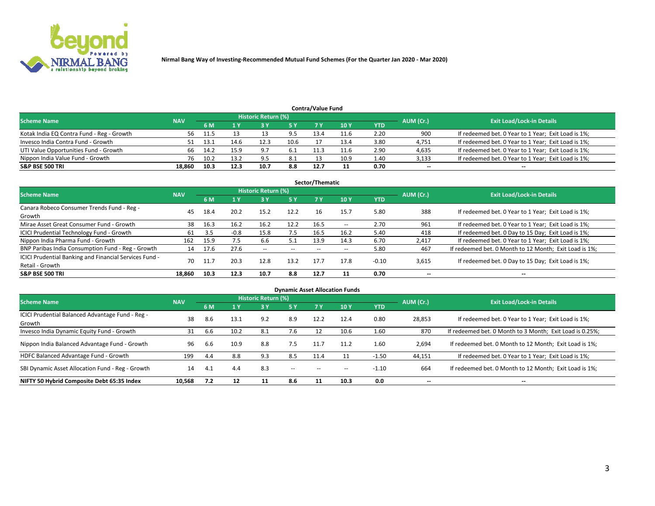

|                                           | <b>Contra/Value Fund</b><br>Historic Return (%) |      |      |      |      |      |      |      |           |                                                     |  |  |  |  |  |
|-------------------------------------------|-------------------------------------------------|------|------|------|------|------|------|------|-----------|-----------------------------------------------------|--|--|--|--|--|
| <b>Scheme Name</b>                        | <b>NAV</b>                                      | 6 M  |      |      | 5 Y  | 7 V  | 10Y  | YTD  | AUM (Cr.) | <b>Exit Load/Lock-in Details</b>                    |  |  |  |  |  |
| Kotak India EQ Contra Fund - Reg - Growth | 56                                              | 11.5 |      |      | 9.5  | 13.4 | 11.6 | 2.20 | 900       | If redeemed bet. 0 Year to 1 Year; Exit Load is 1%; |  |  |  |  |  |
| Invesco India Contra Fund - Growth        |                                                 |      | 14.6 |      | 10.6 |      | 13.4 | 3.80 | 4,751     | If redeemed bet. 0 Year to 1 Year; Exit Load is 1%; |  |  |  |  |  |
| UTI Value Opportunities Fund - Growth     | 66                                              | 14.2 | 15.9 | - Q  | -6.1 |      | 11.6 | 2.90 | 4,635     | If redeemed bet. 0 Year to 1 Year; Exit Load is 1%; |  |  |  |  |  |
| Nippon India Value Fund - Growth          | 76                                              | 10.2 | 13.2 | q ۵  | 8.1  |      | 10.9 | 1.40 | 3,133     | If redeemed bet. 0 Year to 1 Year; Exit Load is 1%; |  |  |  |  |  |
| <b>S&amp;P BSE 500 TRI</b>                | 18.860                                          | 10.3 | 12.3 | 10.7 | 8.8  | 12.7 |      | 0.70 | $\sim$    | $- -$                                               |  |  |  |  |  |

| Sector/Thematic                                                           |            |      |        |                          |           |       |                          |            |                          |                                                        |  |  |  |
|---------------------------------------------------------------------------|------------|------|--------|--------------------------|-----------|-------|--------------------------|------------|--------------------------|--------------------------------------------------------|--|--|--|
| <b>Scheme Name</b>                                                        | <b>NAV</b> |      |        | Historic Return (%)      |           |       |                          |            | AUM (Cr.)                | <b>Exit Load/Lock-in Details</b>                       |  |  |  |
|                                                                           |            | 6 M  | 1 Y    | 73 Y                     | <b>5Y</b> | 7 Y   | 10Y                      | <b>YTD</b> |                          |                                                        |  |  |  |
| Canara Robeco Consumer Trends Fund - Reg -<br>Growth                      | 45         | 18.4 | 20.2   | 15.2                     | 12.2      | 16    | 15.7                     | 5.80       | 388                      | If redeemed bet. 0 Year to 1 Year; Exit Load is 1%;    |  |  |  |
| Mirae Asset Great Consumer Fund - Growth                                  | 38         | 16.3 | 16.2   | 16.2                     | 12.2      | 16.5  | $\overline{\phantom{a}}$ | 2.70       | 961                      | If redeemed bet. 0 Year to 1 Year; Exit Load is 1%;    |  |  |  |
| ICICI Prudential Technology Fund - Growth                                 | 61         | 3.5  | $-0.8$ | 15.8                     | 7.5       | 16.5  | 16.2                     | 5.40       | 418                      | If redeemed bet. 0 Day to 15 Day; Exit Load is 1%;     |  |  |  |
| Nippon India Pharma Fund - Growth                                         | 162        | 15.9 | 7.5    | 6.6                      | 5.1       | 13.9  | 14.3                     | 6.70       | 2,417                    | If redeemed bet. 0 Year to 1 Year; Exit Load is 1%;    |  |  |  |
| BNP Paribas India Consumption Fund - Reg - Growth                         | 14         | 17.6 | 27.6   | $\overline{\phantom{a}}$ | $- -$     | $- -$ | $- -$                    | 5.80       | 467                      | If redeemed bet. 0 Month to 12 Month; Exit Load is 1%; |  |  |  |
| ICICI Prudential Banking and Financial Services Fund -<br>Retail - Growth | 70         | 11.7 | 20.3   | 12.8                     | 13.2      | 17.7  | 17.8                     | $-0.10$    | 3,615                    | If redeemed bet. 0 Day to 15 Day; Exit Load is 1%;     |  |  |  |
| <b>S&amp;P BSE 500 TRI</b>                                                | 18.860     | 10.3 | 12.3   | 10.7                     | 8.8       | 12.7  |                          | 0.70       | $\overline{\phantom{a}}$ | $- -$                                                  |  |  |  |

| <b>Dynamic Asset Allocation Funds</b>                      |            |     |      |                     |        |           |      |            |                          |                                                          |  |  |  |
|------------------------------------------------------------|------------|-----|------|---------------------|--------|-----------|------|------------|--------------------------|----------------------------------------------------------|--|--|--|
| <b>Scheme Name</b>                                         | <b>NAV</b> |     |      | Historic Return (%) |        |           |      |            | AUM (Cr.)                | <b>Exit Load/Lock-in Details</b>                         |  |  |  |
|                                                            |            | 6 M |      | 3 Y                 | 5 Y    | <b>7Y</b> | 10Y  | <b>YTD</b> |                          |                                                          |  |  |  |
| ICICI Prudential Balanced Advantage Fund - Reg -<br>Growth | 38         | 8.6 | 13.1 | 9.2                 | 8.9    | 12.2      | 12.4 | 0.80       | 28,853                   | If redeemed bet. 0 Year to 1 Year; Exit Load is 1%;      |  |  |  |
| Invesco India Dynamic Equity Fund - Growth                 | 31         | 6.6 | 10.2 | 8.1                 | 7.6    | 12        | 10.6 | 1.60       | 870                      | If redeemed bet. 0 Month to 3 Month; Exit Load is 0.25%; |  |  |  |
| Nippon India Balanced Advantage Fund - Growth              | 96         | 6.6 | 10.9 | 8.8                 | 7.5    | 11.7      | 11.2 | 1.60       | 2,694                    | If redeemed bet. 0 Month to 12 Month; Exit Load is 1%;   |  |  |  |
| HDFC Balanced Advantage Fund - Growth                      | 199        | 4.4 | 8.8  | 9.3                 | 8.5    | 11.4      |      | $-1.50$    | 44,151                   | If redeemed bet. 0 Year to 1 Year; Exit Load is 1%;      |  |  |  |
| SBI Dynamic Asset Allocation Fund - Reg - Growth           | 14         | 4.1 | 4.4  | 8.3                 | $\sim$ | $- -$     | --   | $-1.10$    | 664                      | If redeemed bet. 0 Month to 12 Month; Exit Load is 1%;   |  |  |  |
| NIFTY 50 Hybrid Composite Debt 65:35 Index                 | 10,568     | 7.2 | 12   | 11                  | 8.6    | 11        | 10.3 | 0.0        | $\overline{\phantom{a}}$ | $- -$                                                    |  |  |  |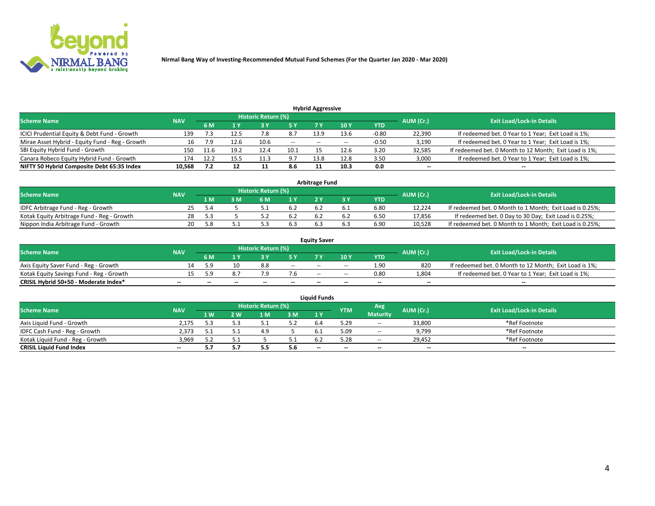

| <b>Hybrid Aggressive</b>                        |            |                                  |      |       |       |       |                 |         |                          |                                                        |  |  |  |  |
|-------------------------------------------------|------------|----------------------------------|------|-------|-------|-------|-----------------|---------|--------------------------|--------------------------------------------------------|--|--|--|--|
| <b>Scheme Name</b>                              | AUM (Cr.)  | <b>Exit Load/Lock-in Details</b> |      |       |       |       |                 |         |                          |                                                        |  |  |  |  |
|                                                 | <b>NAV</b> | 6 M                              |      |       | 5 Y   |       | 10 <sub>Y</sub> | YTD     |                          |                                                        |  |  |  |  |
| ICICI Prudential Equity & Debt Fund - Growth    | 139        |                                  | 12.5 |       | 8.7   | 13.9  | 13.6            | $-0.80$ | 22,390                   | If redeemed bet. 0 Year to 1 Year; Exit Load is 1%;    |  |  |  |  |
| Mirae Asset Hybrid - Equity Fund - Reg - Growth |            | 7.9                              | 12.6 | 10.6  | $- -$ | $- -$ | --              | $-0.50$ | 3,190                    | If redeemed bet. 0 Year to 1 Year; Exit Load is 1%;    |  |  |  |  |
| SBI Equity Hybrid Fund - Growth                 | 150        | 11.6                             | 19.2 | 12.4  | 10.1  |       | 12.6            | 3.20    | 32,585                   | If redeemed bet. 0 Month to 12 Month; Exit Load is 1%; |  |  |  |  |
| Canara Robeco Equity Hybrid Fund - Growth       | 174        | 12.2                             |      | -44.0 | 9.7   | 13.8  | 12.8            | 3.50    | 3,000                    | If redeemed bet. 0 Year to 1 Year; Exit Load is 1%;    |  |  |  |  |
| NIFTY 50 Hybrid Composite Debt 65:35 Index      | 10,568     |                                  |      | . .   | 8.6   |       | 10.3            | 0.0     | $\overline{\phantom{a}}$ | $- -$                                                  |  |  |  |  |

|                                            |            |           |                                  |     |      | <b>Arbitrage Fund</b> |      |        |                                                          |
|--------------------------------------------|------------|-----------|----------------------------------|-----|------|-----------------------|------|--------|----------------------------------------------------------|
| Scheme Name                                | <b>NAV</b> | AUM (Cr.) | <b>Exit Load/Lock-in Details</b> |     |      |                       |      |        |                                                          |
|                                            |            | 1 M       | ßΜ                               | 6 M |      |                       | YTD  |        |                                                          |
| IDFC Arbitrage Fund - Reg - Growth         | 25         | -5.4      |                                  |     | -6.2 |                       | 6.80 | 12.224 | If redeemed bet. 0 Month to 1 Month; Exit Load is 0.25%; |
| Kotak Equity Arbitrage Fund - Reg - Growth | 28         |           |                                  |     | 6.2  |                       | 6.50 | 17,856 | If redeemed bet. 0 Day to 30 Day; Exit Load is 0.25%;    |
| Nippon India Arbitrage Fund - Growth       | 20         | . x       |                                  |     | 6.3  | b.:                   | 6.90 | 10.528 | If redeemed bet. 0 Month to 1 Month; Exit Load is 0.25%; |

|                                          |            |           |                                  |                          |                          | <b>Equity Saver</b> |        |            |                          |                                                        |
|------------------------------------------|------------|-----------|----------------------------------|--------------------------|--------------------------|---------------------|--------|------------|--------------------------|--------------------------------------------------------|
| Scheme Name                              | <b>NAV</b> | AUM (Cr.) | <b>Exit Load/Lock-in Details</b> |                          |                          |                     |        |            |                          |                                                        |
|                                          |            | 6 M       |                                  |                          |                          |                     | 10 Y   | <b>YTD</b> |                          |                                                        |
| Axis Equity Saver Fund - Reg - Growth    |            | : a       |                                  | 8.8                      | $\sim$                   | $- -$               | $\sim$ | 1.90       | 820                      | If redeemed bet. 0 Month to 12 Month; Exit Load is 1%; |
| Kotak Equity Savings Fund - Reg - Growth |            | c         |                                  |                          | 7.b                      | $- -$               | $- -$  | 0.80       | 1,804                    | If redeemed bet. 0 Year to 1 Year; Exit Load is 1%;    |
| CRISIL Hybrid 50+50 - Moderate Index*    |            | --        | $-$                              | $\overline{\phantom{a}}$ | $\overline{\phantom{a}}$ | $\sim$              | --     | $\sim$     | $\overline{\phantom{a}}$ | $-$                                                    |

| <b>Liquid Funds</b>              |            |      |     |                            |     |                          |            |                 |           |                                  |  |  |  |  |
|----------------------------------|------------|------|-----|----------------------------|-----|--------------------------|------------|-----------------|-----------|----------------------------------|--|--|--|--|
| Scheme Name                      | <b>NAV</b> |      |     | <b>Historic Return (%)</b> |     |                          | <b>YTM</b> | Avg             | AUM (Cr.) | <b>Exit Load/Lock-in Details</b> |  |  |  |  |
|                                  |            | 1 W. | 2 W | 1 M                        | 3M  | 1 Y                      |            | <b>Maturity</b> |           |                                  |  |  |  |  |
| Axis Liquid Fund - Growth        | 2,175      |      |     |                            | 5.2 |                          | 5.29       | $\sim$          | 33,800    | *Ref Footnote                    |  |  |  |  |
| IDFC Cash Fund - Reg - Growth    | 2.373      |      |     | 4.9                        |     |                          | 5.09       | $- -$           | 9,799     | *Ref Footnote                    |  |  |  |  |
| Kotak Liquid Fund - Reg - Growth | 3,969      |      |     |                            |     |                          | 5.28       | $- -$           | 29.452    | *Ref Footnote                    |  |  |  |  |
| <b>CRISIL Liquid Fund Index</b>  | $\sim$     | 5.7  |     |                            | 5.6 | $\overline{\phantom{a}}$ | $-$        | $- -$           | $\sim$    | $\sim$                           |  |  |  |  |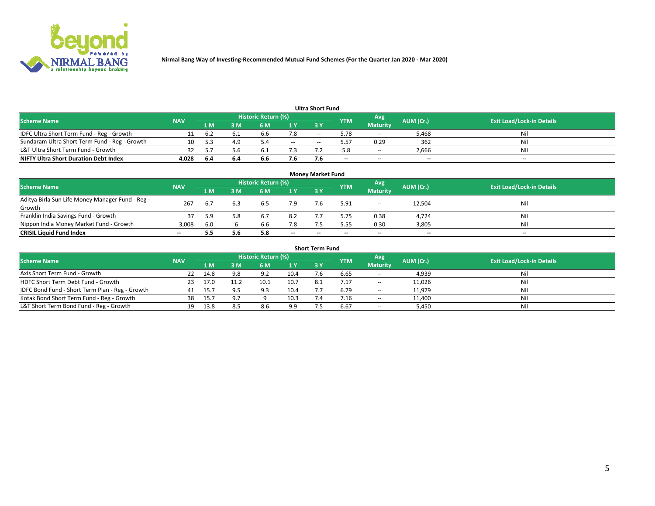

| <b>Ultra Short Fund</b>                       |            |      |     |                            |        |     |            |                 |           |                                  |  |  |  |  |
|-----------------------------------------------|------------|------|-----|----------------------------|--------|-----|------------|-----------------|-----------|----------------------------------|--|--|--|--|
| <b>Scheme Name</b>                            | <b>NAV</b> |      |     | <b>Historic Return (%)</b> |        |     | <b>YTM</b> | Avg             | AUM (Cr.) | <b>Exit Load/Lock-in Details</b> |  |  |  |  |
|                                               |            | 1 M  | 3 M | 6 M                        | 1 Y    | 3 Y |            | <b>Maturity</b> |           |                                  |  |  |  |  |
| IDFC Ultra Short Term Fund - Reg - Growth     |            | b.2  |     | b.b                        |        | $-$ | 5.78       | $- -$           | 5,468     | Nil                              |  |  |  |  |
| Sundaram Ultra Short Term Fund - Reg - Growth |            |      | 4.9 |                            | $\sim$ | --  | 5.57       | 0.29            | 362       | Nil                              |  |  |  |  |
| L&T Ultra Short Term Fund - Growth            |            |      | 5.b |                            |        |     |            | $-$             | 2,666     | Nil                              |  |  |  |  |
| <b>NIFTY Ultra Short Duration Debt Index</b>  | 4,028      | -6.4 | 6.4 | 6.6                        | 7.6    |     | --         | $-$             | $\sim$    | $- -$                            |  |  |  |  |

| <b>Monev Market Fund</b>                                   |            |     |     |                     |        |        |            |                 |                          |                                  |  |  |  |
|------------------------------------------------------------|------------|-----|-----|---------------------|--------|--------|------------|-----------------|--------------------------|----------------------------------|--|--|--|
| <b>Scheme Name</b>                                         | <b>NAV</b> |     |     | Historic Return (%) |        |        | <b>YTM</b> | Avg             | AUM (Cr.)                | <b>Exit Load/Lock-in Details</b> |  |  |  |
|                                                            |            | 1 M | 3 M | 6 M                 | 1Y     | 3Y     |            | <b>Maturity</b> |                          |                                  |  |  |  |
| Aditya Birla Sun Life Money Manager Fund - Reg -<br>Growth | 267        | 6.7 |     | 6.5                 | 7.9    |        | 5.91       | $\sim$ $\sim$   | 12,504                   | Nil                              |  |  |  |
| Franklin India Savings Fund - Growth                       |            | 59  | 5.8 | b.7                 | 8.2    |        | 5.75       | 0.38            | 4,724                    | Nil                              |  |  |  |
| Nippon India Money Market Fund - Growth                    | 3,008      | 6.0 |     | b.b                 | 7.8    |        | 5.55       | 0.30            | 3,805                    | Nil                              |  |  |  |
| <b>CRISIL Liquid Fund Index</b>                            | $- -$      |     | 5.6 |                     | $\sim$ | $\sim$ | --         | $- -$           | $\overline{\phantom{a}}$ | $\sim$                           |  |  |  |

| <b>Short Term Fund</b>                          |            |       |     |                            |      |           |            |                 |           |                                  |  |  |  |  |
|-------------------------------------------------|------------|-------|-----|----------------------------|------|-----------|------------|-----------------|-----------|----------------------------------|--|--|--|--|
| <b>Scheme Name</b>                              | <b>NAV</b> |       |     | <b>Historic Return (%)</b> |      |           | <b>YTM</b> | Avg             | AUM (Cr.) | <b>Exit Load/Lock-in Details</b> |  |  |  |  |
|                                                 |            | 1 M   | 3 M | 6 M                        | 1Y   | <b>3Y</b> |            | <b>Maturity</b> |           |                                  |  |  |  |  |
| Axis Short Term Fund - Growth                   |            | 14.8  | 9.8 | 9.2                        | 10.4 |           | 6.65       | $-$             | 4,939     | Nil                              |  |  |  |  |
| HDFC Short Term Debt Fund - Growth              | 23         | 17.0  |     | د.10                       | 10.7 |           | 7.17       | $\sim$          | 11,026    | Nil                              |  |  |  |  |
| IDFC Bond Fund - Short Term Plan - Reg - Growth | 41         | -15.7 |     | 9.3                        | 10.4 |           | 6.79       | $\sim$          | 11,979    | Nil                              |  |  |  |  |
| Kotak Bond Short Term Fund - Reg - Growth       | 38         | 15.7  | 9.7 |                            | 10.3 |           | / .16      | $\sim$          | 11,400    | Nil                              |  |  |  |  |
| L&T Short Term Bond Fund - Reg - Growth         |            | 13.8  | 8.5 | 8.6                        | 9.9  |           | 6.67       | $- -$           | 5,450     | Nil                              |  |  |  |  |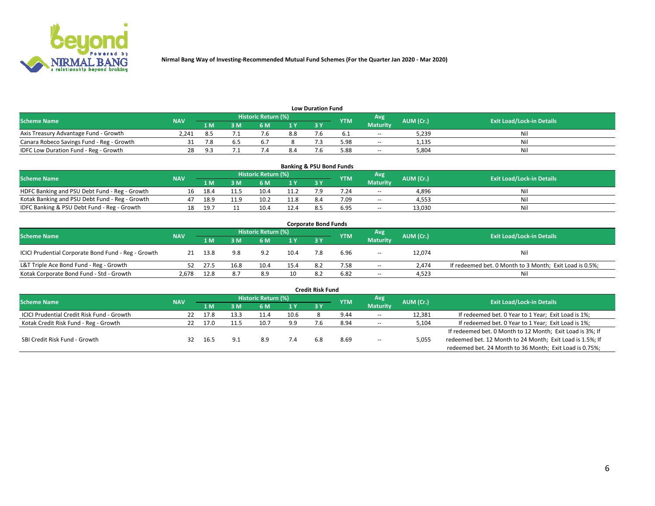

| <b>Low Duration Fund</b>                  |            |     |     |                            |     |    |            |                 |           |                                  |  |  |  |  |
|-------------------------------------------|------------|-----|-----|----------------------------|-----|----|------------|-----------------|-----------|----------------------------------|--|--|--|--|
| <b>Scheme Name</b>                        | <b>NAV</b> |     |     | <b>Historic Return (%)</b> |     |    | <b>YTM</b> | Avg             | AUM (Cr.) | <b>Exit Load/Lock-in Details</b> |  |  |  |  |
|                                           |            | 1 M | ያ M | S MN                       |     | 2V |            | <b>Maturity</b> |           |                                  |  |  |  |  |
| Axis Treasury Advantage Fund - Growth     | 2.241      |     |     |                            | 8.8 |    |            | $- -$           | 5,239     | Nil                              |  |  |  |  |
| Canara Robeco Savings Fund - Reg - Growth |            |     |     |                            |     |    | 5.98       | $-$             | 1,135     | Nil                              |  |  |  |  |
| IDFC Low Duration Fund - Reg - Growth     | 28         |     |     |                            |     |    | 5.88       | $\sim$ $\sim$   | 5,804     | Nil                              |  |  |  |  |

| <b>Banking &amp; PSU Bond Funds</b>            |            |      |     |                     |      |     |            |                 |           |                                  |  |  |  |
|------------------------------------------------|------------|------|-----|---------------------|------|-----|------------|-----------------|-----------|----------------------------------|--|--|--|
| <b>Scheme Name</b>                             | <b>NAV</b> |      |     | Historic Return (%) |      |     | <b>YTM</b> | Avg             | AUM (Cr.) | <b>Exit Load/Lock-in Details</b> |  |  |  |
|                                                |            | 1 M  | ያ M | 6 M                 | 1Y   |     |            | <b>Maturity</b> |           |                                  |  |  |  |
| HDFC Banking and PSU Debt Fund - Reg - Growth  |            |      |     |                     |      |     | 7.24       | $\sim$          | 4,896     | Nil                              |  |  |  |
| Kotak Banking and PSU Debt Fund - Reg - Growth | 47         | 18.9 | 1.9 |                     | 11.8 | 8.4 | 7.09       | $\sim$          | 4,553     | Nil                              |  |  |  |
| IDFC Banking & PSU Debt Fund - Reg - Growth    |            | 19.7 |     |                     | 12.4 |     | 6.95       | $- -$           | 13.030    | Nil                              |  |  |  |

| <b>Corporate Bond Funds</b>                         |            |      |                         |                     |      |    |            |                 |           |                                                         |  |  |  |
|-----------------------------------------------------|------------|------|-------------------------|---------------------|------|----|------------|-----------------|-----------|---------------------------------------------------------|--|--|--|
| <b>Scheme Name</b>                                  | <b>NAV</b> |      |                         | Historic Return (%) |      |    | <b>YTM</b> | Avg             | AUM (Cr.) | <b>Exit Load/Lock-in Details</b>                        |  |  |  |
|                                                     |            | 1 M  | $\overline{\mathsf{M}}$ | 6 M                 | 1Y   | 3V |            | <b>Maturity</b> |           |                                                         |  |  |  |
| ICICI Prudential Corporate Bond Fund - Reg - Growth | 21         | 13.8 | 9.8                     | 9.2                 | 10.4 |    | 6.96       | $\sim$          | 12,074    | Nil                                                     |  |  |  |
| L&T Triple Ace Bond Fund - Reg - Growth             |            | 27.5 | 16.8                    | 10.4                | 15.4 |    | 7.58       | $\sim$          | 2.474     | If redeemed bet. 0 Month to 3 Month; Exit Load is 0.5%; |  |  |  |
| Kotak Corporate Bond Fund - Std - Growth            | 2,678      | 12.8 | 8.7                     | 8.9                 | 10   |    | 6.82       | $\sim$ $\sim$   | 4,523     | Nil                                                     |  |  |  |

|                                            |            |      |      |                     |      | <b>Credit Risk Fund</b> |            |                 |           |                                                           |
|--------------------------------------------|------------|------|------|---------------------|------|-------------------------|------------|-----------------|-----------|-----------------------------------------------------------|
| <b>Scheme Name</b>                         | <b>NAV</b> |      |      | Historic Return (%) |      |                         | <b>YTM</b> | Avg             | AUM (Cr.) | <b>Exit Load/Lock-in Details</b>                          |
|                                            |            | 1 M  | : M  | '6 M                | '1 Y | 3 Y                     |            | <b>Maturity</b> |           |                                                           |
| ICICI Prudential Credit Risk Fund - Growth | 22         | 17.8 | 13.3 | 11.4                | 10.6 |                         | 9.44       | $\sim$ $\sim$   | 12,381    | If redeemed bet. 0 Year to 1 Year; Exit Load is 1%;       |
| Kotak Credit Risk Fund - Reg - Growth      |            | 17.0 |      | 10.7                | 9.9  |                         | 8.94       | $\sim$ $\sim$   | 5,104     | If redeemed bet. 0 Year to 1 Year; Exit Load is 1%;       |
|                                            |            |      |      |                     |      |                         |            |                 |           | If redeemed bet. 0 Month to 12 Month; Exit Load is 3%; If |
| SBI Credit Risk Fund - Growth              |            | 16.5 |      | 8.9                 |      |                         | 8.69       | $\sim$ $\sim$   | 5,055     | redeemed bet. 12 Month to 24 Month; Exit Load is 1.5%; If |
|                                            |            |      |      |                     |      |                         |            |                 |           | redeemed bet. 24 Month to 36 Month; Exit Load is 0.75%;   |